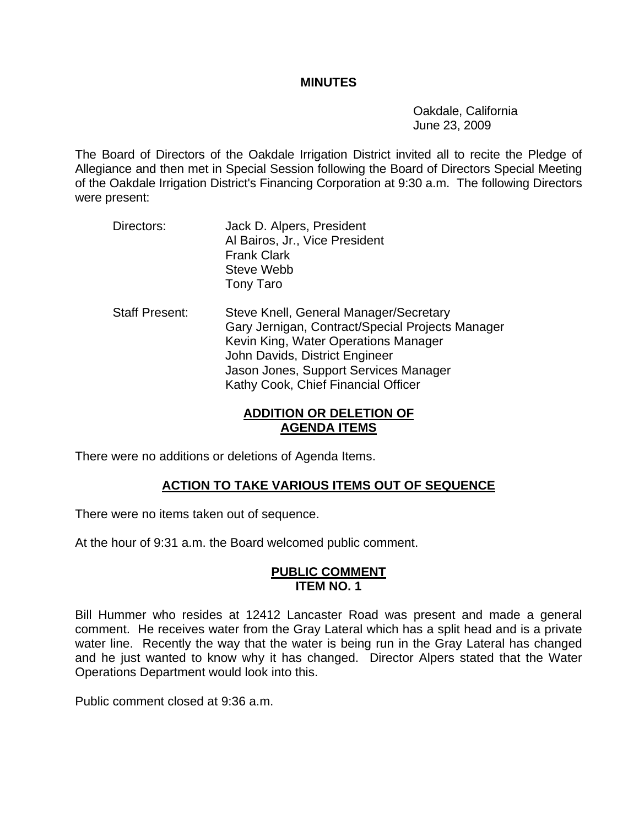#### **MINUTES**

 Oakdale, California June 23, 2009

The Board of Directors of the Oakdale Irrigation District invited all to recite the Pledge of Allegiance and then met in Special Session following the Board of Directors Special Meeting of the Oakdale Irrigation District's Financing Corporation at 9:30 a.m. The following Directors were present:

- Directors: Jack D. Alpers, President Al Bairos, Jr., Vice President Frank Clark Steve Webb Tony Taro
- Staff Present: Steve Knell, General Manager/Secretary Gary Jernigan, Contract/Special Projects Manager Kevin King, Water Operations Manager John Davids, District Engineer Jason Jones, Support Services Manager Kathy Cook, Chief Financial Officer

## **ADDITION OR DELETION OF AGENDA ITEMS**

There were no additions or deletions of Agenda Items.

# **ACTION TO TAKE VARIOUS ITEMS OUT OF SEQUENCE**

There were no items taken out of sequence.

At the hour of 9:31 a.m. the Board welcomed public comment.

## **PUBLIC COMMENT ITEM NO. 1**

Bill Hummer who resides at 12412 Lancaster Road was present and made a general comment. He receives water from the Gray Lateral which has a split head and is a private water line. Recently the way that the water is being run in the Gray Lateral has changed and he just wanted to know why it has changed. Director Alpers stated that the Water Operations Department would look into this.

Public comment closed at 9:36 a.m.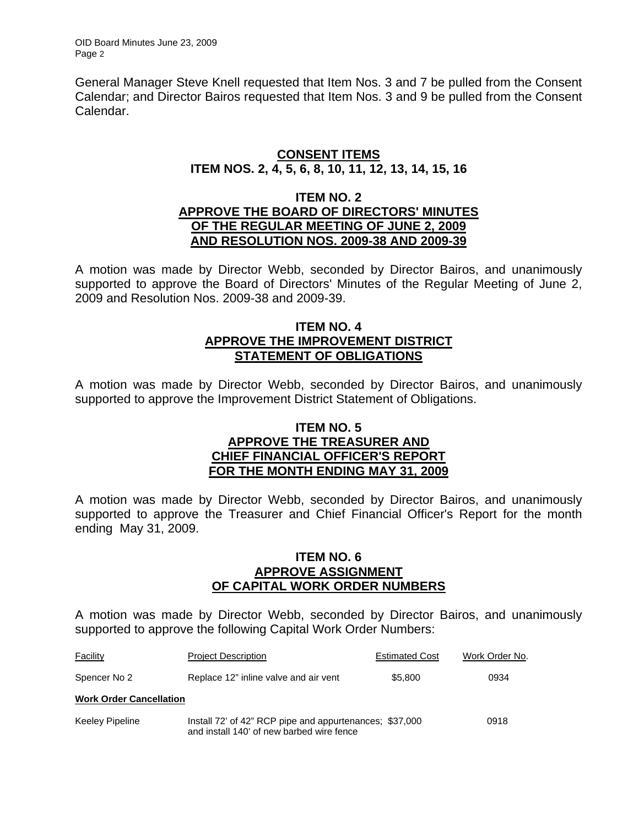OID Board Minutes June 23, 2009 Page 2

General Manager Steve Knell requested that Item Nos. 3 and 7 be pulled from the Consent Calendar; and Director Bairos requested that Item Nos. 3 and 9 be pulled from the Consent Calendar.

#### **CONSENT ITEMS ITEM NOS. 2, 4, 5, 6, 8, 10, 11, 12, 13, 14, 15, 16**

#### **ITEM NO. 2 APPROVE THE BOARD OF DIRECTORS' MINUTES OF THE REGULAR MEETING OF JUNE 2, 2009 AND RESOLUTION NOS. 2009-38 AND 2009-39**

A motion was made by Director Webb, seconded by Director Bairos, and unanimously supported to approve the Board of Directors' Minutes of the Regular Meeting of June 2, 2009 and Resolution Nos. 2009-38 and 2009-39.

## **ITEM NO. 4 APPROVE THE IMPROVEMENT DISTRICT STATEMENT OF OBLIGATIONS**

A motion was made by Director Webb, seconded by Director Bairos, and unanimously supported to approve the Improvement District Statement of Obligations.

## **ITEM NO. 5 APPROVE THE TREASURER AND CHIEF FINANCIAL OFFICER'S REPORT FOR THE MONTH ENDING MAY 31, 2009**

A motion was made by Director Webb, seconded by Director Bairos, and unanimously supported to approve the Treasurer and Chief Financial Officer's Report for the month ending May 31, 2009.

#### **ITEM NO. 6 APPROVE ASSIGNMENT OF CAPITAL WORK ORDER NUMBERS**

A motion was made by Director Webb, seconded by Director Bairos, and unanimously supported to approve the following Capital Work Order Numbers:

| Facility                       | <b>Project Description</b>                                                                           | <b>Estimated Cost</b> | Work Order No. |
|--------------------------------|------------------------------------------------------------------------------------------------------|-----------------------|----------------|
| Spencer No 2                   | Replace 12" inline valve and air vent                                                                | \$5,800               | 0934           |
| <b>Work Order Cancellation</b> |                                                                                                      |                       |                |
| Keeley Pipeline                | Install 72' of 42" RCP pipe and appurtenances; \$37,000<br>and install 140' of new barbed wire fence |                       | 0918           |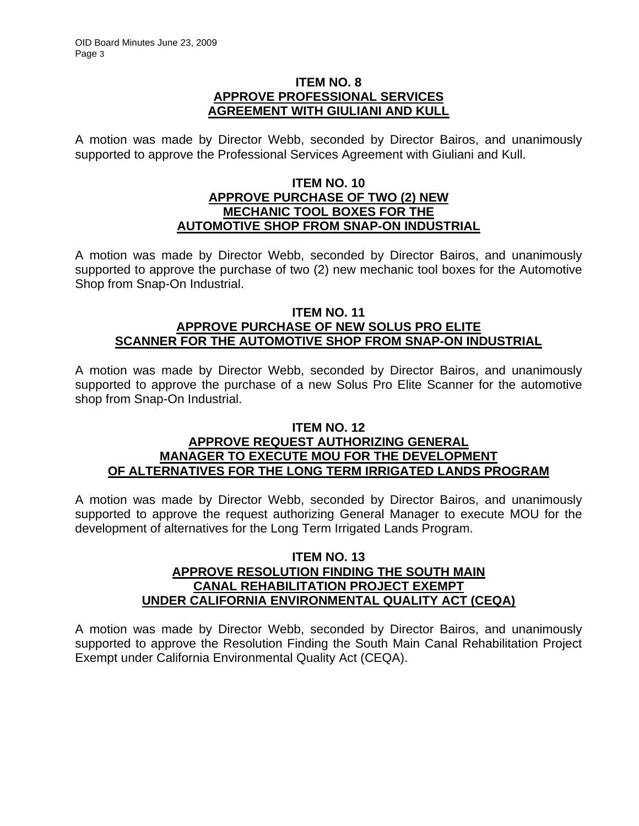## **ITEM NO. 8 APPROVE PROFESSIONAL SERVICES AGREEMENT WITH GIULIANI AND KULL**

A motion was made by Director Webb, seconded by Director Bairos, and unanimously supported to approve the Professional Services Agreement with Giuliani and Kull.

## **ITEM NO. 10 APPROVE PURCHASE OF TWO (2) NEW MECHANIC TOOL BOXES FOR THE AUTOMOTIVE SHOP FROM SNAP-ON INDUSTRIAL**

A motion was made by Director Webb, seconded by Director Bairos, and unanimously supported to approve the purchase of two (2) new mechanic tool boxes for the Automotive Shop from Snap-On Industrial.

## **ITEM NO. 11 APPROVE PURCHASE OF NEW SOLUS PRO ELITE SCANNER FOR THE AUTOMOTIVE SHOP FROM SNAP-ON INDUSTRIAL**

A motion was made by Director Webb, seconded by Director Bairos, and unanimously supported to approve the purchase of a new Solus Pro Elite Scanner for the automotive shop from Snap-On Industrial.

# **ITEM NO. 12**

## **APPROVE REQUEST AUTHORIZING GENERAL MANAGER TO EXECUTE MOU FOR THE DEVELOPMENT OF ALTERNATIVES FOR THE LONG TERM IRRIGATED LANDS PROGRAM**

A motion was made by Director Webb, seconded by Director Bairos, and unanimously supported to approve the request authorizing General Manager to execute MOU for the development of alternatives for the Long Term Irrigated Lands Program.

#### **ITEM NO. 13 APPROVE RESOLUTION FINDING THE SOUTH MAIN CANAL REHABILITATION PROJECT EXEMPT UNDER CALIFORNIA ENVIRONMENTAL QUALITY ACT (CEQA)**

A motion was made by Director Webb, seconded by Director Bairos, and unanimously supported to approve the Resolution Finding the South Main Canal Rehabilitation Project Exempt under California Environmental Quality Act (CEQA).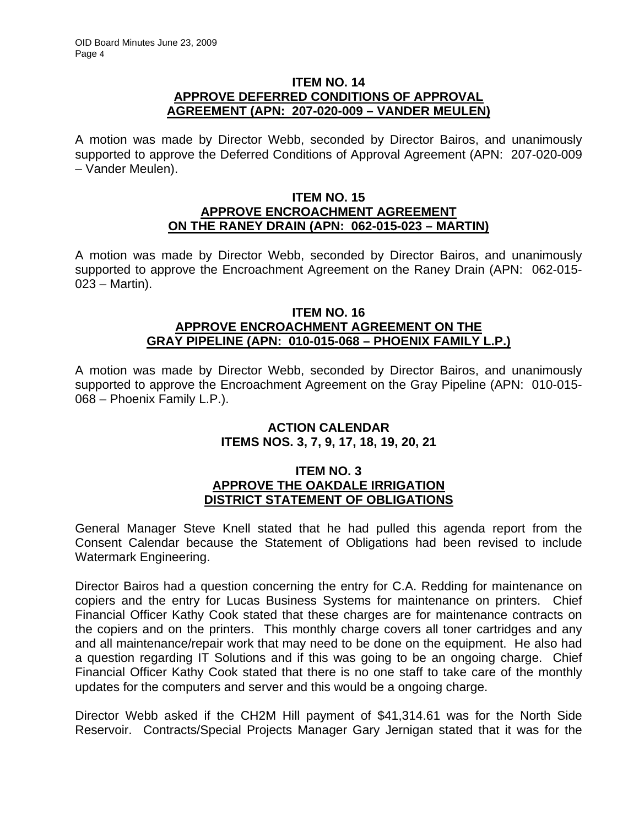### **ITEM NO. 14 APPROVE DEFERRED CONDITIONS OF APPROVAL AGREEMENT (APN: 207-020-009 – VANDER MEULEN)**

A motion was made by Director Webb, seconded by Director Bairos, and unanimously supported to approve the Deferred Conditions of Approval Agreement (APN: 207-020-009 – Vander Meulen).

### **ITEM NO. 15 APPROVE ENCROACHMENT AGREEMENT ON THE RANEY DRAIN (APN: 062-015-023 – MARTIN)**

A motion was made by Director Webb, seconded by Director Bairos, and unanimously supported to approve the Encroachment Agreement on the Raney Drain (APN: 062-015- 023 – Martin).

## **ITEM NO. 16 APPROVE ENCROACHMENT AGREEMENT ON THE GRAY PIPELINE (APN: 010-015-068 – PHOENIX FAMILY L.P.)**

A motion was made by Director Webb, seconded by Director Bairos, and unanimously supported to approve the Encroachment Agreement on the Gray Pipeline (APN: 010-015- 068 – Phoenix Family L.P.).

### **ACTION CALENDAR ITEMS NOS. 3, 7, 9, 17, 18, 19, 20, 21**

# **ITEM NO. 3 APPROVE THE OAKDALE IRRIGATION DISTRICT STATEMENT OF OBLIGATIONS**

General Manager Steve Knell stated that he had pulled this agenda report from the Consent Calendar because the Statement of Obligations had been revised to include Watermark Engineering.

Director Bairos had a question concerning the entry for C.A. Redding for maintenance on copiers and the entry for Lucas Business Systems for maintenance on printers. Chief Financial Officer Kathy Cook stated that these charges are for maintenance contracts on the copiers and on the printers. This monthly charge covers all toner cartridges and any and all maintenance/repair work that may need to be done on the equipment. He also had a question regarding IT Solutions and if this was going to be an ongoing charge. Chief Financial Officer Kathy Cook stated that there is no one staff to take care of the monthly updates for the computers and server and this would be a ongoing charge.

Director Webb asked if the CH2M Hill payment of \$41,314.61 was for the North Side Reservoir. Contracts/Special Projects Manager Gary Jernigan stated that it was for the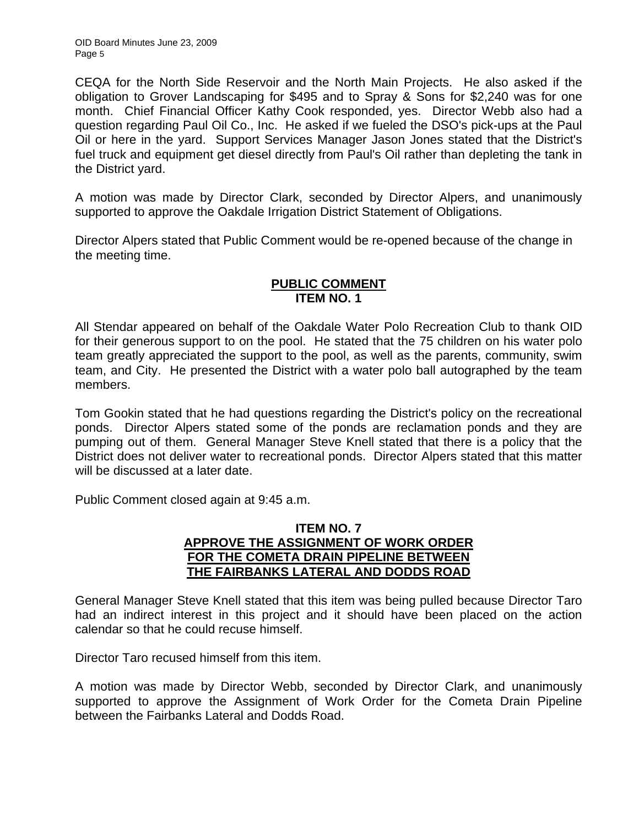CEQA for the North Side Reservoir and the North Main Projects. He also asked if the obligation to Grover Landscaping for \$495 and to Spray & Sons for \$2,240 was for one month. Chief Financial Officer Kathy Cook responded, yes. Director Webb also had a question regarding Paul Oil Co., Inc. He asked if we fueled the DSO's pick-ups at the Paul Oil or here in the yard. Support Services Manager Jason Jones stated that the District's fuel truck and equipment get diesel directly from Paul's Oil rather than depleting the tank in the District yard.

A motion was made by Director Clark, seconded by Director Alpers, and unanimously supported to approve the Oakdale Irrigation District Statement of Obligations.

Director Alpers stated that Public Comment would be re-opened because of the change in the meeting time.

## **PUBLIC COMMENT ITEM NO. 1**

All Stendar appeared on behalf of the Oakdale Water Polo Recreation Club to thank OID for their generous support to on the pool. He stated that the 75 children on his water polo team greatly appreciated the support to the pool, as well as the parents, community, swim team, and City. He presented the District with a water polo ball autographed by the team members.

Tom Gookin stated that he had questions regarding the District's policy on the recreational ponds. Director Alpers stated some of the ponds are reclamation ponds and they are pumping out of them. General Manager Steve Knell stated that there is a policy that the District does not deliver water to recreational ponds. Director Alpers stated that this matter will be discussed at a later date.

Public Comment closed again at 9:45 a.m.

## **ITEM NO. 7 APPROVE THE ASSIGNMENT OF WORK ORDER FOR THE COMETA DRAIN PIPELINE BETWEEN THE FAIRBANKS LATERAL AND DODDS ROAD**

General Manager Steve Knell stated that this item was being pulled because Director Taro had an indirect interest in this project and it should have been placed on the action calendar so that he could recuse himself.

Director Taro recused himself from this item.

A motion was made by Director Webb, seconded by Director Clark, and unanimously supported to approve the Assignment of Work Order for the Cometa Drain Pipeline between the Fairbanks Lateral and Dodds Road.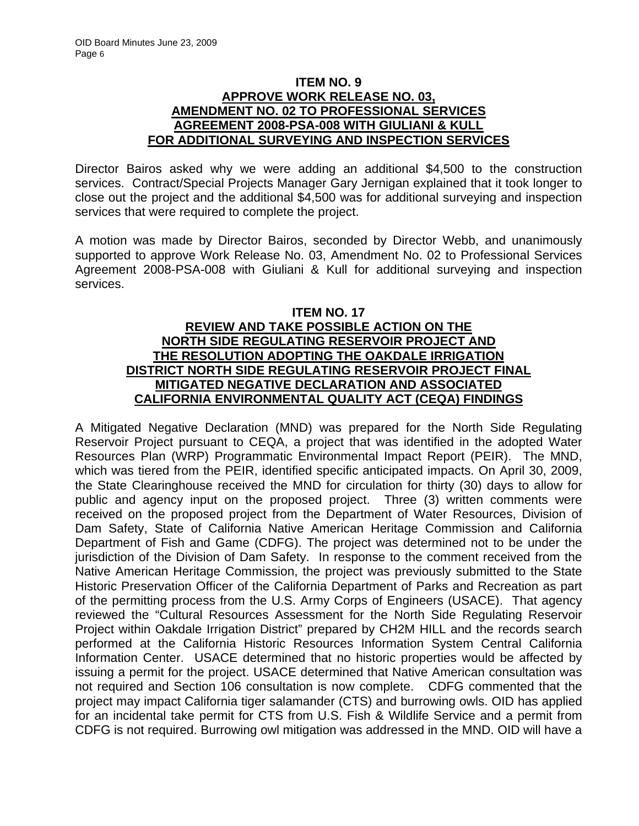### **ITEM NO. 9 APPROVE WORK RELEASE NO. 03, AMENDMENT NO. 02 TO PROFESSIONAL SERVICES AGREEMENT 2008-PSA-008 WITH GIULIANI & KULL FOR ADDITIONAL SURVEYING AND INSPECTION SERVICES**

Director Bairos asked why we were adding an additional \$4,500 to the construction services. Contract/Special Projects Manager Gary Jernigan explained that it took longer to close out the project and the additional \$4,500 was for additional surveying and inspection services that were required to complete the project.

A motion was made by Director Bairos, seconded by Director Webb, and unanimously supported to approve Work Release No. 03, Amendment No. 02 to Professional Services Agreement 2008-PSA-008 with Giuliani & Kull for additional surveying and inspection services.

## **ITEM NO. 17 REVIEW AND TAKE POSSIBLE ACTION ON THE NORTH SIDE REGULATING RESERVOIR PROJECT AND THE RESOLUTION ADOPTING THE OAKDALE IRRIGATION DISTRICT NORTH SIDE REGULATING RESERVOIR PROJECT FINAL MITIGATED NEGATIVE DECLARATION AND ASSOCIATED CALIFORNIA ENVIRONMENTAL QUALITY ACT (CEQA) FINDINGS**

A Mitigated Negative Declaration (MND) was prepared for the North Side Regulating Reservoir Project pursuant to CEQA, a project that was identified in the adopted Water Resources Plan (WRP) Programmatic Environmental Impact Report (PEIR). The MND, which was tiered from the PEIR, identified specific anticipated impacts. On April 30, 2009, the State Clearinghouse received the MND for circulation for thirty (30) days to allow for public and agency input on the proposed project. Three (3) written comments were received on the proposed project from the Department of Water Resources, Division of Dam Safety, State of California Native American Heritage Commission and California Department of Fish and Game (CDFG). The project was determined not to be under the jurisdiction of the Division of Dam Safety. In response to the comment received from the Native American Heritage Commission, the project was previously submitted to the State Historic Preservation Officer of the California Department of Parks and Recreation as part of the permitting process from the U.S. Army Corps of Engineers (USACE). That agency reviewed the "Cultural Resources Assessment for the North Side Regulating Reservoir Project within Oakdale Irrigation District" prepared by CH2M HILL and the records search performed at the California Historic Resources Information System Central California Information Center. USACE determined that no historic properties would be affected by issuing a permit for the project. USACE determined that Native American consultation was not required and Section 106 consultation is now complete. CDFG commented that the project may impact California tiger salamander (CTS) and burrowing owls. OID has applied for an incidental take permit for CTS from U.S. Fish & Wildlife Service and a permit from CDFG is not required. Burrowing owl mitigation was addressed in the MND. OID will have a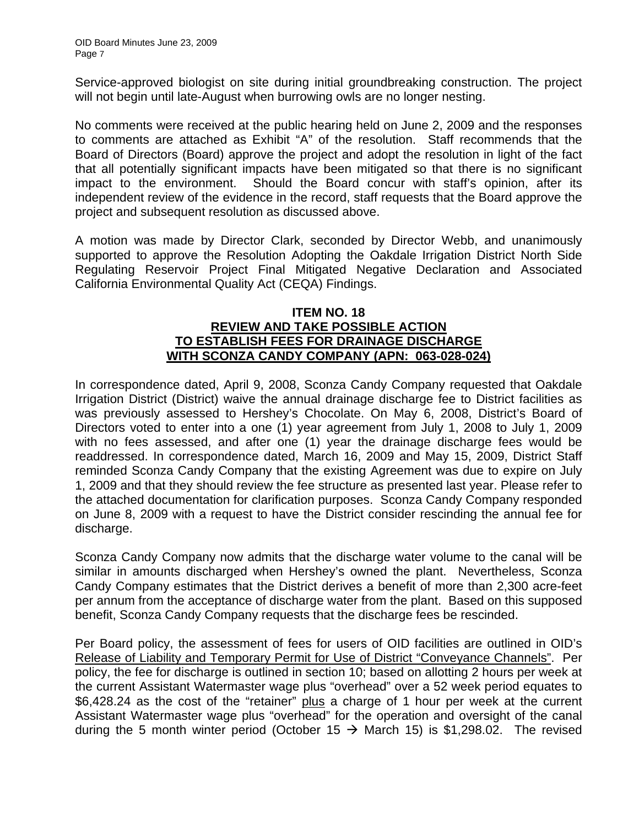Service-approved biologist on site during initial groundbreaking construction. The project will not begin until late-August when burrowing owls are no longer nesting.

No comments were received at the public hearing held on June 2, 2009 and the responses to comments are attached as Exhibit "A" of the resolution. Staff recommends that the Board of Directors (Board) approve the project and adopt the resolution in light of the fact that all potentially significant impacts have been mitigated so that there is no significant impact to the environment. Should the Board concur with staff's opinion, after its independent review of the evidence in the record, staff requests that the Board approve the project and subsequent resolution as discussed above.

A motion was made by Director Clark, seconded by Director Webb, and unanimously supported to approve the Resolution Adopting the Oakdale Irrigation District North Side Regulating Reservoir Project Final Mitigated Negative Declaration and Associated California Environmental Quality Act (CEQA) Findings.

### **ITEM NO. 18 REVIEW AND TAKE POSSIBLE ACTION TO ESTABLISH FEES FOR DRAINAGE DISCHARGE WITH SCONZA CANDY COMPANY (APN: 063-028-024)**

In correspondence dated, April 9, 2008, Sconza Candy Company requested that Oakdale Irrigation District (District) waive the annual drainage discharge fee to District facilities as was previously assessed to Hershey's Chocolate. On May 6, 2008, District's Board of Directors voted to enter into a one (1) year agreement from July 1, 2008 to July 1, 2009 with no fees assessed, and after one (1) year the drainage discharge fees would be readdressed. In correspondence dated, March 16, 2009 and May 15, 2009, District Staff reminded Sconza Candy Company that the existing Agreement was due to expire on July 1, 2009 and that they should review the fee structure as presented last year. Please refer to the attached documentation for clarification purposes. Sconza Candy Company responded on June 8, 2009 with a request to have the District consider rescinding the annual fee for discharge.

Sconza Candy Company now admits that the discharge water volume to the canal will be similar in amounts discharged when Hershey's owned the plant. Nevertheless, Sconza Candy Company estimates that the District derives a benefit of more than 2,300 acre-feet per annum from the acceptance of discharge water from the plant. Based on this supposed benefit, Sconza Candy Company requests that the discharge fees be rescinded.

Per Board policy, the assessment of fees for users of OID facilities are outlined in OID's Release of Liability and Temporary Permit for Use of District "Conveyance Channels". Per policy, the fee for discharge is outlined in section 10; based on allotting 2 hours per week at the current Assistant Watermaster wage plus "overhead" over a 52 week period equates to \$6,428.24 as the cost of the "retainer" plus a charge of 1 hour per week at the current Assistant Watermaster wage plus "overhead" for the operation and oversight of the canal during the 5 month winter period (October 15  $\rightarrow$  March 15) is \$1,298.02. The revised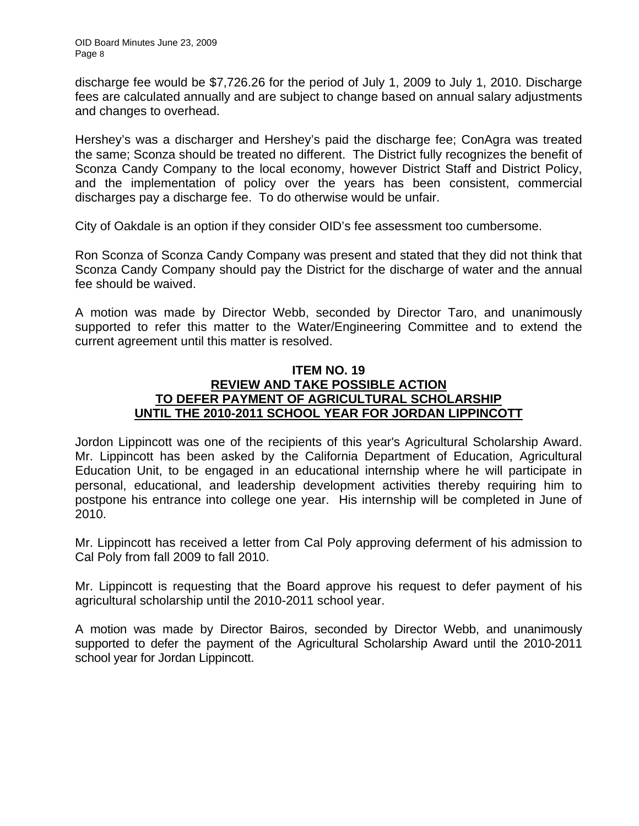discharge fee would be \$7,726.26 for the period of July 1, 2009 to July 1, 2010. Discharge fees are calculated annually and are subject to change based on annual salary adjustments and changes to overhead.

Hershey's was a discharger and Hershey's paid the discharge fee; ConAgra was treated the same; Sconza should be treated no different. The District fully recognizes the benefit of Sconza Candy Company to the local economy, however District Staff and District Policy, and the implementation of policy over the years has been consistent, commercial discharges pay a discharge fee. To do otherwise would be unfair.

City of Oakdale is an option if they consider OID's fee assessment too cumbersome.

Ron Sconza of Sconza Candy Company was present and stated that they did not think that Sconza Candy Company should pay the District for the discharge of water and the annual fee should be waived.

A motion was made by Director Webb, seconded by Director Taro, and unanimously supported to refer this matter to the Water/Engineering Committee and to extend the current agreement until this matter is resolved.

## **ITEM NO. 19 REVIEW AND TAKE POSSIBLE ACTION TO DEFER PAYMENT OF AGRICULTURAL SCHOLARSHIP UNTIL THE 2010-2011 SCHOOL YEAR FOR JORDAN LIPPINCOTT**

Jordon Lippincott was one of the recipients of this year's Agricultural Scholarship Award. Mr. Lippincott has been asked by the California Department of Education, Agricultural Education Unit, to be engaged in an educational internship where he will participate in personal, educational, and leadership development activities thereby requiring him to postpone his entrance into college one year. His internship will be completed in June of 2010.

Mr. Lippincott has received a letter from Cal Poly approving deferment of his admission to Cal Poly from fall 2009 to fall 2010.

Mr. Lippincott is requesting that the Board approve his request to defer payment of his agricultural scholarship until the 2010-2011 school year.

A motion was made by Director Bairos, seconded by Director Webb, and unanimously supported to defer the payment of the Agricultural Scholarship Award until the 2010-2011 school year for Jordan Lippincott.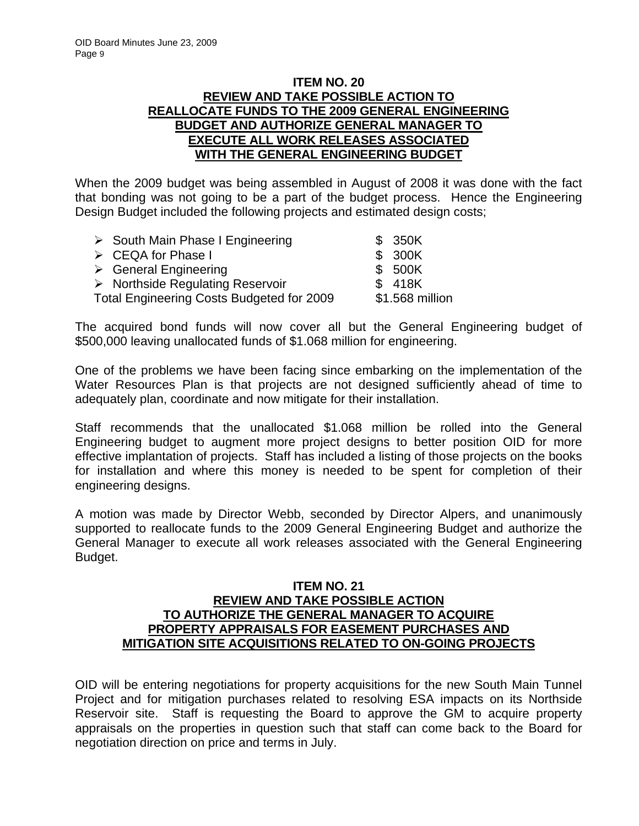## **ITEM NO. 20 REVIEW AND TAKE POSSIBLE ACTION TO REALLOCATE FUNDS TO THE 2009 GENERAL ENGINEERING BUDGET AND AUTHORIZE GENERAL MANAGER TO EXECUTE ALL WORK RELEASES ASSOCIATED WITH THE GENERAL ENGINEERING BUDGET**

When the 2009 budget was being assembled in August of 2008 it was done with the fact that bonding was not going to be a part of the budget process. Hence the Engineering Design Budget included the following projects and estimated design costs;

| $\triangleright$ South Main Phase I Engineering  | \$ 350K         |
|--------------------------------------------------|-----------------|
| $\triangleright$ CEQA for Phase I                | \$ 300K         |
| $\triangleright$ General Engineering             | \$ 500K         |
| $\triangleright$ Northside Regulating Reservoir  | \$ 418K         |
| <b>Total Engineering Costs Budgeted for 2009</b> | \$1.568 million |
|                                                  |                 |

The acquired bond funds will now cover all but the General Engineering budget of \$500,000 leaving unallocated funds of \$1.068 million for engineering.

One of the problems we have been facing since embarking on the implementation of the Water Resources Plan is that projects are not designed sufficiently ahead of time to adequately plan, coordinate and now mitigate for their installation.

Staff recommends that the unallocated \$1.068 million be rolled into the General Engineering budget to augment more project designs to better position OID for more effective implantation of projects. Staff has included a listing of those projects on the books for installation and where this money is needed to be spent for completion of their engineering designs.

A motion was made by Director Webb, seconded by Director Alpers, and unanimously supported to reallocate funds to the 2009 General Engineering Budget and authorize the General Manager to execute all work releases associated with the General Engineering Budget.

### **ITEM NO. 21 REVIEW AND TAKE POSSIBLE ACTION TO AUTHORIZE THE GENERAL MANAGER TO ACQUIRE PROPERTY APPRAISALS FOR EASEMENT PURCHASES AND MITIGATION SITE ACQUISITIONS RELATED TO ON-GOING PROJECTS**

OID will be entering negotiations for property acquisitions for the new South Main Tunnel Project and for mitigation purchases related to resolving ESA impacts on its Northside Reservoir site. Staff is requesting the Board to approve the GM to acquire property appraisals on the properties in question such that staff can come back to the Board for negotiation direction on price and terms in July.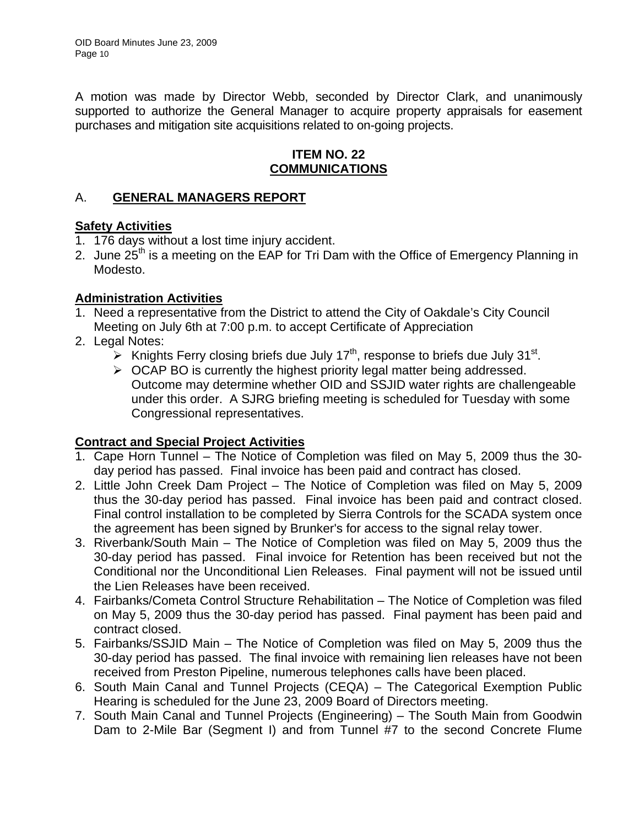A motion was made by Director Webb, seconded by Director Clark, and unanimously supported to authorize the General Manager to acquire property appraisals for easement purchases and mitigation site acquisitions related to on-going projects.

## **ITEM NO. 22 COMMUNICATIONS**

# A. **GENERAL MANAGERS REPORT**

## **Safety Activities**

- 1. 176 days without a lost time injury accident.
- 2. June 25<sup>th</sup> is a meeting on the EAP for Tri Dam with the Office of Emergency Planning in Modesto.

# **Administration Activities**

- 1. Need a representative from the District to attend the City of Oakdale's City Council Meeting on July 6th at 7:00 p.m. to accept Certificate of Appreciation
- 2. Legal Notes:
	- $\triangleright$  Knights Ferry closing briefs due July 17<sup>th</sup>, response to briefs due July 31<sup>st</sup>.
	- $\triangleright$  OCAP BO is currently the highest priority legal matter being addressed. Outcome may determine whether OID and SSJID water rights are challengeable under this order. A SJRG briefing meeting is scheduled for Tuesday with some Congressional representatives.

# **Contract and Special Project Activities**

- 1. Cape Horn Tunnel The Notice of Completion was filed on May 5, 2009 thus the 30 day period has passed. Final invoice has been paid and contract has closed.
- 2. Little John Creek Dam Project The Notice of Completion was filed on May 5, 2009 thus the 30-day period has passed. Final invoice has been paid and contract closed. Final control installation to be completed by Sierra Controls for the SCADA system once the agreement has been signed by Brunker's for access to the signal relay tower.
- 3. Riverbank/South Main The Notice of Completion was filed on May 5, 2009 thus the 30-day period has passed. Final invoice for Retention has been received but not the Conditional nor the Unconditional Lien Releases. Final payment will not be issued until the Lien Releases have been received.
- 4. Fairbanks/Cometa Control Structure Rehabilitation The Notice of Completion was filed on May 5, 2009 thus the 30-day period has passed. Final payment has been paid and contract closed.
- 5. Fairbanks/SSJID Main The Notice of Completion was filed on May 5, 2009 thus the 30-day period has passed. The final invoice with remaining lien releases have not been received from Preston Pipeline, numerous telephones calls have been placed.
- 6. South Main Canal and Tunnel Projects (CEQA) The Categorical Exemption Public Hearing is scheduled for the June 23, 2009 Board of Directors meeting.
- 7. South Main Canal and Tunnel Projects (Engineering) The South Main from Goodwin Dam to 2-Mile Bar (Segment I) and from Tunnel #7 to the second Concrete Flume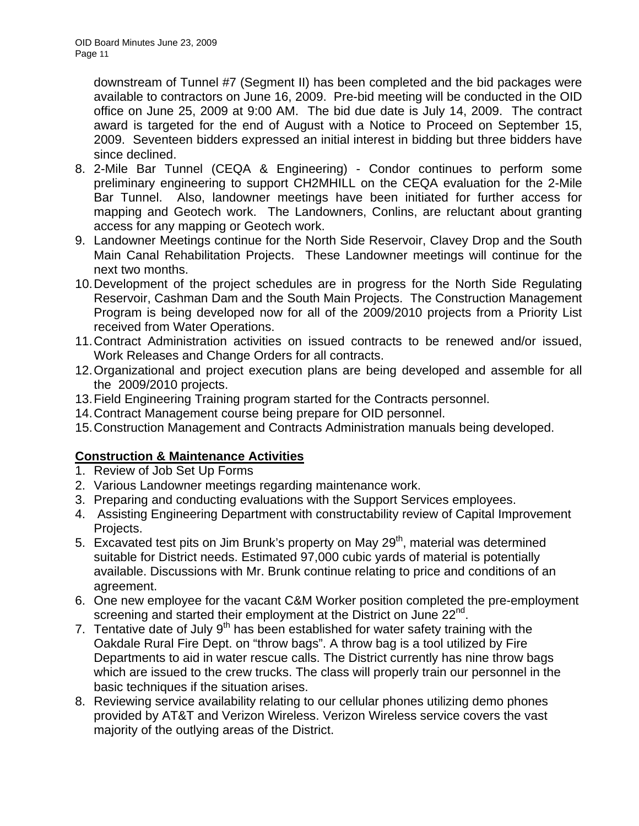downstream of Tunnel #7 (Segment II) has been completed and the bid packages were available to contractors on June 16, 2009. Pre-bid meeting will be conducted in the OID office on June 25, 2009 at 9:00 AM. The bid due date is July 14, 2009. The contract award is targeted for the end of August with a Notice to Proceed on September 15, 2009. Seventeen bidders expressed an initial interest in bidding but three bidders have since declined.

- 8. 2-Mile Bar Tunnel (CEQA & Engineering) Condor continues to perform some preliminary engineering to support CH2MHILL on the CEQA evaluation for the 2-Mile Bar Tunnel. Also, landowner meetings have been initiated for further access for mapping and Geotech work. The Landowners, Conlins, are reluctant about granting access for any mapping or Geotech work.
- 9. Landowner Meetings continue for the North Side Reservoir, Clavey Drop and the South Main Canal Rehabilitation Projects. These Landowner meetings will continue for the next two months.
- 10. Development of the project schedules are in progress for the North Side Regulating Reservoir, Cashman Dam and the South Main Projects. The Construction Management Program is being developed now for all of the 2009/2010 projects from a Priority List received from Water Operations.
- 11. Contract Administration activities on issued contracts to be renewed and/or issued, Work Releases and Change Orders for all contracts.
- 12. Organizational and project execution plans are being developed and assemble for all the 2009/2010 projects.
- 13. Field Engineering Training program started for the Contracts personnel.
- 14. Contract Management course being prepare for OID personnel.
- 15. Construction Management and Contracts Administration manuals being developed.

# **Construction & Maintenance Activities**

- 1. Review of Job Set Up Forms
- 2. Various Landowner meetings regarding maintenance work.
- 3. Preparing and conducting evaluations with the Support Services employees.
- 4. Assisting Engineering Department with constructability review of Capital Improvement Projects.
- 5. Excavated test pits on Jim Brunk's property on May 29<sup>th</sup>, material was determined suitable for District needs. Estimated 97,000 cubic yards of material is potentially available. Discussions with Mr. Brunk continue relating to price and conditions of an agreement.
- 6. One new employee for the vacant C&M Worker position completed the pre-employment screening and started their employment at the District on June 22<sup>nd</sup>.
- 7. Tentative date of July  $9<sup>th</sup>$  has been established for water safety training with the Oakdale Rural Fire Dept. on "throw bags". A throw bag is a tool utilized by Fire Departments to aid in water rescue calls. The District currently has nine throw bags which are issued to the crew trucks. The class will properly train our personnel in the basic techniques if the situation arises.
- 8. Reviewing service availability relating to our cellular phones utilizing demo phones provided by AT&T and Verizon Wireless. Verizon Wireless service covers the vast majority of the outlying areas of the District.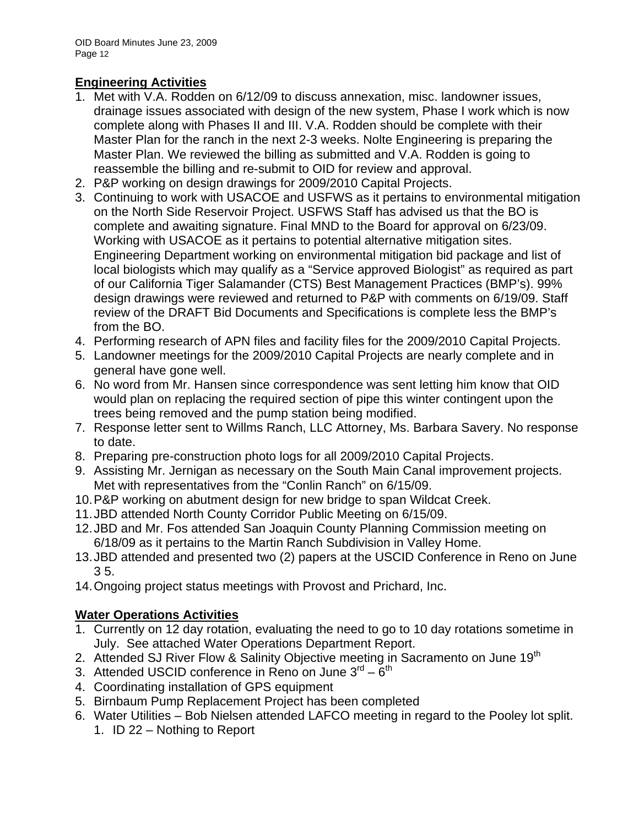# **Engineering Activities**

- 1. Met with V.A. Rodden on 6/12/09 to discuss annexation, misc. landowner issues, drainage issues associated with design of the new system, Phase I work which is now complete along with Phases II and III. V.A. Rodden should be complete with their Master Plan for the ranch in the next 2-3 weeks. Nolte Engineering is preparing the Master Plan. We reviewed the billing as submitted and V.A. Rodden is going to reassemble the billing and re-submit to OID for review and approval.
- 2. P&P working on design drawings for 2009/2010 Capital Projects.
- 3. Continuing to work with USACOE and USFWS as it pertains to environmental mitigation on the North Side Reservoir Project. USFWS Staff has advised us that the BO is complete and awaiting signature. Final MND to the Board for approval on 6/23/09. Working with USACOE as it pertains to potential alternative mitigation sites. Engineering Department working on environmental mitigation bid package and list of local biologists which may qualify as a "Service approved Biologist" as required as part of our California Tiger Salamander (CTS) Best Management Practices (BMP's). 99% design drawings were reviewed and returned to P&P with comments on 6/19/09. Staff review of the DRAFT Bid Documents and Specifications is complete less the BMP's from the BO.
- 4. Performing research of APN files and facility files for the 2009/2010 Capital Projects.
- 5. Landowner meetings for the 2009/2010 Capital Projects are nearly complete and in general have gone well.
- 6. No word from Mr. Hansen since correspondence was sent letting him know that OID would plan on replacing the required section of pipe this winter contingent upon the trees being removed and the pump station being modified.
- 7. Response letter sent to Willms Ranch, LLC Attorney, Ms. Barbara Savery. No response to date.
- 8. Preparing pre-construction photo logs for all 2009/2010 Capital Projects.
- 9. Assisting Mr. Jernigan as necessary on the South Main Canal improvement projects. Met with representatives from the "Conlin Ranch" on 6/15/09.
- 10. P&P working on abutment design for new bridge to span Wildcat Creek.
- 11. JBD attended North County Corridor Public Meeting on 6/15/09.
- 12. JBD and Mr. Fos attended San Joaquin County Planning Commission meeting on 6/18/09 as it pertains to the Martin Ranch Subdivision in Valley Home.
- 13. JBD attended and presented two (2) papers at the USCID Conference in Reno on June 3 5.
- 14. Ongoing project status meetings with Provost and Prichard, Inc.

# **Water Operations Activities**

- 1. Currently on 12 day rotation, evaluating the need to go to 10 day rotations sometime in July. See attached Water Operations Department Report.
- 2. Attended SJ River Flow & Salinity Objective meeting in Sacramento on June 19<sup>th</sup>
- 3. Attended USCID conference in Reno on June  $3^{rd} 6^{th}$
- 4. Coordinating installation of GPS equipment
- 5. Birnbaum Pump Replacement Project has been completed
- 6. Water Utilities Bob Nielsen attended LAFCO meeting in regard to the Pooley lot split.
	- 1. ID 22 Nothing to Report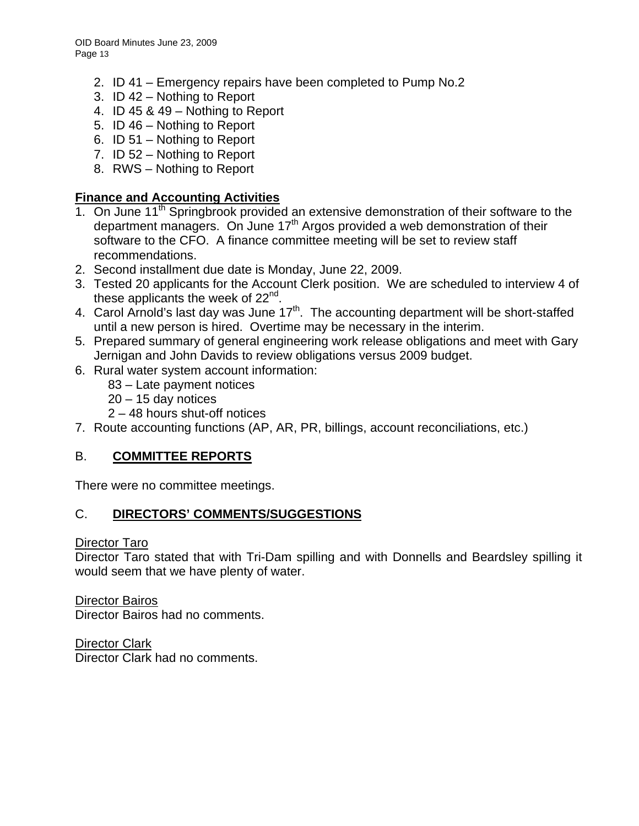- 2. ID 41 Emergency repairs have been completed to Pump No.2
- 3. ID 42 Nothing to Report
- 4. ID 45 & 49 Nothing to Report
- 5. ID 46 Nothing to Report
- 6. ID 51 Nothing to Report
- 7. ID 52 Nothing to Report
- 8. RWS Nothing to Report

# **Finance and Accounting Activities**

- 1. On June 11<sup>th</sup> Springbrook provided an extensive demonstration of their software to the department managers. On June  $17<sup>th</sup>$  Argos provided a web demonstration of their software to the CFO. A finance committee meeting will be set to review staff recommendations.
- 2. Second installment due date is Monday, June 22, 2009.
- 3. Tested 20 applicants for the Account Clerk position. We are scheduled to interview 4 of these applicants the week of  $22<sup>nd</sup>$ .
- 4. Carol Arnold's last day was June 17<sup>th</sup>. The accounting department will be short-staffed until a new person is hired. Overtime may be necessary in the interim.
- 5. Prepared summary of general engineering work release obligations and meet with Gary Jernigan and John Davids to review obligations versus 2009 budget.
- 6. Rural water system account information:
	- 83 Late payment notices
	- 20 15 day notices
	- 2 48 hours shut-off notices
- 7. Route accounting functions (AP, AR, PR, billings, account reconciliations, etc.)

# B. **COMMITTEE REPORTS**

There were no committee meetings.

# C. **DIRECTORS' COMMENTS/SUGGESTIONS**

#### Director Taro

Director Taro stated that with Tri-Dam spilling and with Donnells and Beardsley spilling it would seem that we have plenty of water.

Director Bairos Director Bairos had no comments.

Director Clark Director Clark had no comments.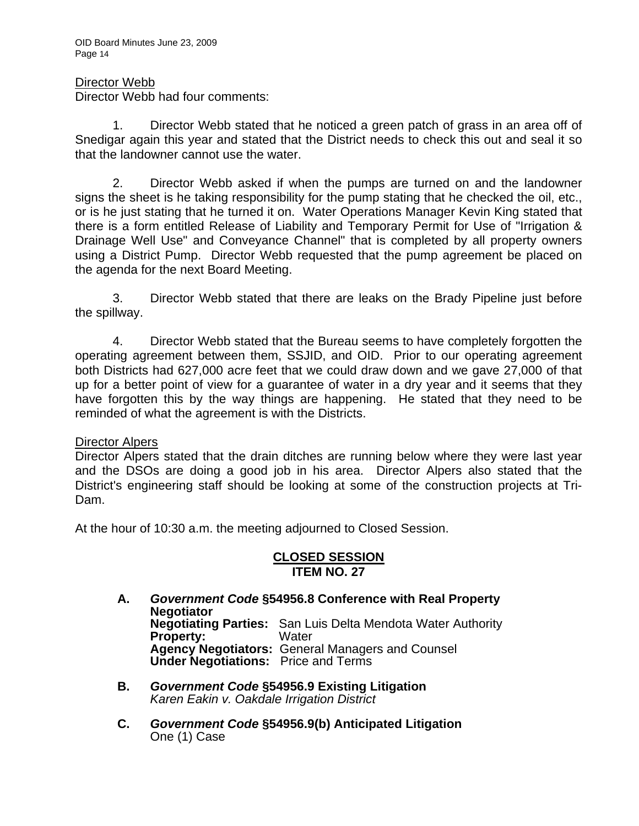OID Board Minutes June 23, 2009 Page 14

### Director Webb

Director Webb had four comments:

 1. Director Webb stated that he noticed a green patch of grass in an area off of Snedigar again this year and stated that the District needs to check this out and seal it so that the landowner cannot use the water.

 2. Director Webb asked if when the pumps are turned on and the landowner signs the sheet is he taking responsibility for the pump stating that he checked the oil, etc., or is he just stating that he turned it on. Water Operations Manager Kevin King stated that there is a form entitled Release of Liability and Temporary Permit for Use of "Irrigation & Drainage Well Use" and Conveyance Channel" that is completed by all property owners using a District Pump. Director Webb requested that the pump agreement be placed on the agenda for the next Board Meeting.

 3. Director Webb stated that there are leaks on the Brady Pipeline just before the spillway.

 4. Director Webb stated that the Bureau seems to have completely forgotten the operating agreement between them, SSJID, and OID. Prior to our operating agreement both Districts had 627,000 acre feet that we could draw down and we gave 27,000 of that up for a better point of view for a guarantee of water in a dry year and it seems that they have forgotten this by the way things are happening. He stated that they need to be reminded of what the agreement is with the Districts.

#### Director Alpers

Director Alpers stated that the drain ditches are running below where they were last year and the DSOs are doing a good job in his area. Director Alpers also stated that the District's engineering staff should be looking at some of the construction projects at Tri-Dam.

At the hour of 10:30 a.m. the meeting adjourned to Closed Session.

## **CLOSED SESSION ITEM NO. 27**

- **A.** *Government Code* **§54956.8 Conference with Real Property Negotiator Negotiating Parties:** San Luis Delta Mendota Water Authority **Property: Agency Negotiators:** General Managers and Counsel  **Under Negotiations:** Price and Terms
- **B.** *Government Code* **§54956.9 Existing Litigation**  *Karen Eakin v. Oakdale Irrigation District*
- **C.** *Government Code* **§54956.9(b) Anticipated Litigation**  One (1) Case